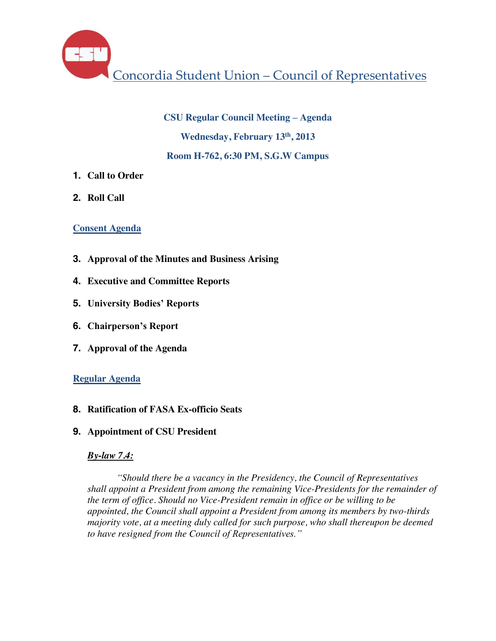Concordia Student Union – Council of Representatives

# **CSU Regular Council Meeting – Agenda Wednesday, February 13th, 2013 Room H-762, 6:30 PM, S.G.W Campus**

- **1. Call to Order**
- **2. Roll Call**

## **Consent Agenda**

- **3. Approval of the Minutes and Business Arising**
- **4. Executive and Committee Reports**
- **5. University Bodies' Reports**
- **6. Chairperson's Report**
- **7. Approval of the Agenda**

#### **Regular Agenda**

- **8. Ratification of FASA Ex-officio Seats**
- **9. Appointment of CSU President**

#### *By-law 7.4:*

*"Should there be a vacancy in the Presidency, the Council of Representatives shall appoint a President from among the remaining Vice-Presidents for the remainder of the term of office. Should no Vice-President remain in office or be willing to be appointed, the Council shall appoint a President from among its members by two-thirds majority vote, at a meeting duly called for such purpose, who shall thereupon be deemed to have resigned from the Council of Representatives."*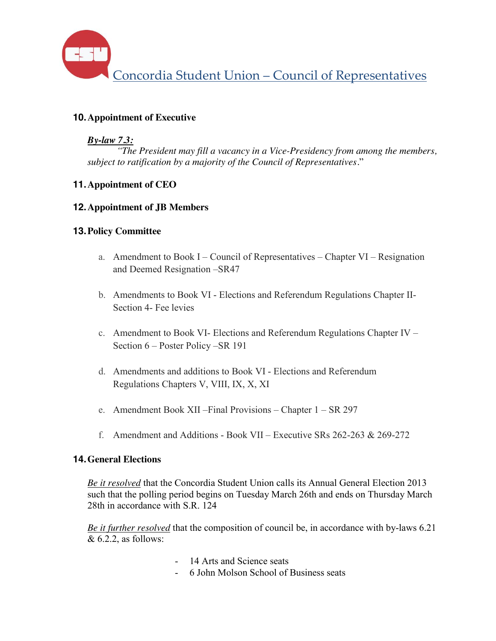

## **10.Appointment of Executive**

## *By-law 7.3:*

*"The President may fill a vacancy in a Vice-Presidency from among the members, subject to ratification by a majority of the Council of Representatives.*"

## **11.Appointment of CEO**

## **12.Appointment of JB Members**

## **13.Policy Committee**

- a. Amendment to Book I Council of Representatives Chapter VI Resignation and Deemed Resignation –SR47
- b. Amendments to Book VI Elections and Referendum Regulations Chapter II-Section 4- Fee levies
- c. Amendment to Book VI- Elections and Referendum Regulations Chapter IV Section 6 – Poster Policy –SR 191
- d. Amendments and additions to Book VI Elections and Referendum Regulations Chapters V, VIII, IX, X, XI
- e. Amendment Book XII –Final Provisions Chapter 1 SR 297
- f. Amendment and Additions Book VII Executive SRs 262-263  $& 269-272$

#### **14.General Elections**

*Be it resolved* that the Concordia Student Union calls its Annual General Election 2013 such that the polling period begins on Tuesday March 26th and ends on Thursday March 28th in accordance with S.R. 124

*Be it further resolved* that the composition of council be, in accordance with by-laws 6.21  $& 6.2.2$ , as follows:

- 14 Arts and Science seats
- 6 John Molson School of Business seats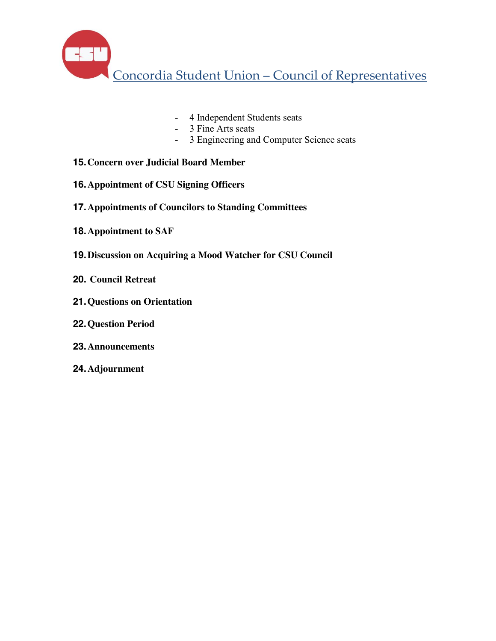Concordia Student Union – Council of Representatives

- 4 Independent Students seats
- 3 Fine Arts seats
- 3 Engineering and Computer Science seats
- **15.Concern over Judicial Board Member**
- **16.Appointment of CSU Signing Officers**
- **17.Appointments of Councilors to Standing Committees**
- **18.Appointment to SAF**
- **19.Discussion on Acquiring a Mood Watcher for CSU Council**
- **20. Council Retreat**
- **21.Questions on Orientation**
- **22.Question Period**
- **23.Announcements**
- **24.Adjournment**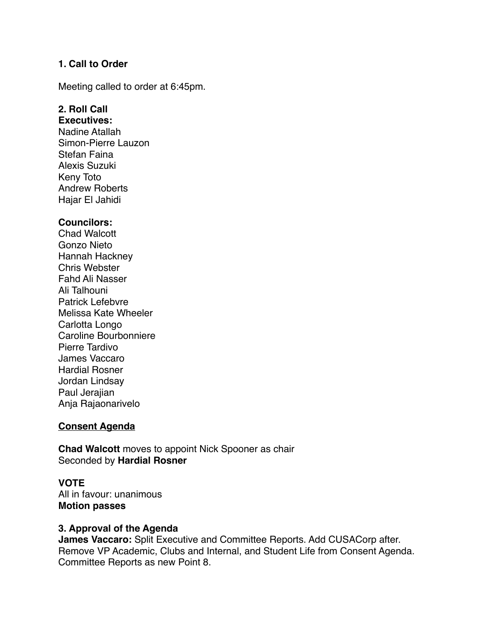## **1. Call to Order**

Meeting called to order at 6:45pm.

# **2. Roll Call**

**Executives:**  Nadine Atallah Simon-Pierre Lauzon Stefan Faina Alexis Suzuki Keny Toto Andrew Roberts Hajar El Jahidi

#### **Councilors:**

Chad Walcott Gonzo Nieto Hannah Hackney Chris Webster Fahd Ali Nasser Ali Talhouni Patrick Lefebvre Melissa Kate Wheeler Carlotta Longo Caroline Bourbonniere Pierre Tardivo James Vaccaro Hardial Rosner Jordan Lindsay Paul Jerajian Anja Rajaonarivelo

#### **Consent Agenda**

**Chad Walcott** moves to appoint Nick Spooner as chair Seconded by **Hardial Rosner** 

**VOTE**  All in favour: unanimous **Motion passes** 

#### **3. Approval of the Agenda**

**James Vaccaro:** Split Executive and Committee Reports. Add CUSACorp after. Remove VP Academic, Clubs and Internal, and Student Life from Consent Agenda. Committee Reports as new Point 8.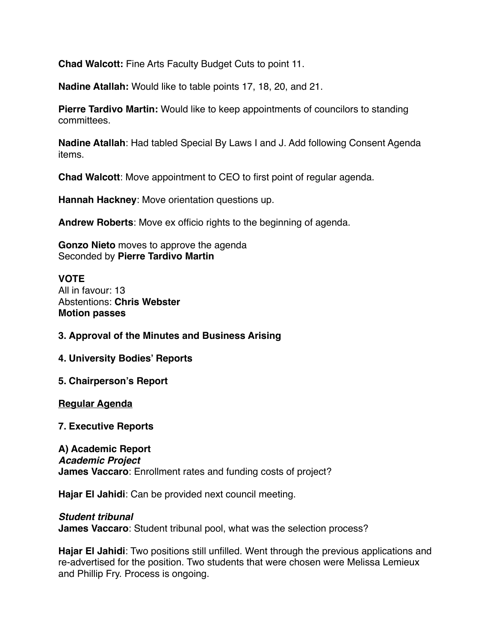**Chad Walcott:** Fine Arts Faculty Budget Cuts to point 11.

**Nadine Atallah:** Would like to table points 17, 18, 20, and 21.

**Pierre Tardivo Martin:** Would like to keep appointments of councilors to standing committees.

**Nadine Atallah**: Had tabled Special By Laws I and J. Add following Consent Agenda items.

**Chad Walcott**: Move appointment to CEO to first point of regular agenda.

**Hannah Hackney**: Move orientation questions up.

**Andrew Roberts**: Move ex officio rights to the beginning of agenda.

**Gonzo Nieto** moves to approve the agenda Seconded by **Pierre Tardivo Martin** 

**VOTE** All in favour: 13 Abstentions: **Chris Webster Motion passes** 

# **3. Approval of the Minutes and Business Arising**

#### **4. University Bodies' Reports**

**5. Chairperson's Report** 

#### **Regular Agenda**

**7. Executive Reports** 

**A) Academic Report** *Academic Project*  **James Vaccaro**: Enrollment rates and funding costs of project?

**Hajar El Jahidi**: Can be provided next council meeting.

*Student tribunal* **James Vaccaro**: Student tribunal pool, what was the selection process?

**Hajar El Jahidi**: Two positions still unfilled. Went through the previous applications and re-advertised for the position. Two students that were chosen were Melissa Lemieux and Phillip Fry. Process is ongoing.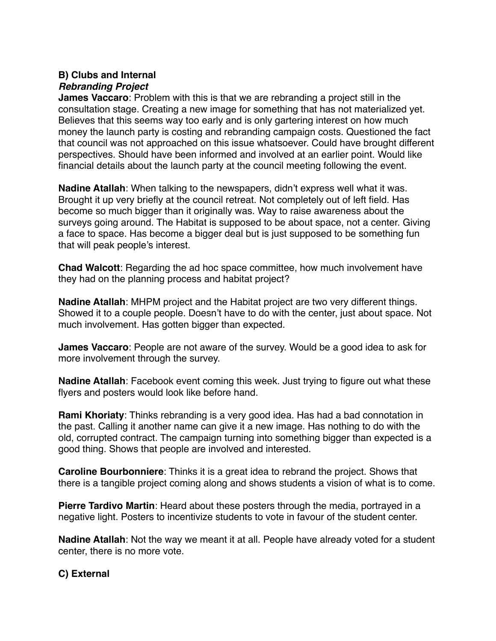# **B) Clubs and Internal**  *Rebranding Project*

**James Vaccaro**: Problem with this is that we are rebranding a project still in the consultation stage. Creating a new image for something that has not materialized yet. Believes that this seems way too early and is only gartering interest on how much money the launch party is costing and rebranding campaign costs. Questioned the fact that council was not approached on this issue whatsoever. Could have brought different perspectives. Should have been informed and involved at an earlier point. Would like financial details about the launch party at the council meeting following the event.

**Nadine Atallah**: When talking to the newspapers, didn't express well what it was. Brought it up very briefly at the council retreat. Not completely out of left field. Has become so much bigger than it originally was. Way to raise awareness about the surveys going around. The Habitat is supposed to be about space, not a center. Giving a face to space. Has become a bigger deal but is just supposed to be something fun that will peak people's interest.

**Chad Walcott**: Regarding the ad hoc space committee, how much involvement have they had on the planning process and habitat project?

**Nadine Atallah**: MHPM project and the Habitat project are two very different things. Showed it to a couple people. Doesn't have to do with the center, just about space. Not much involvement. Has gotten bigger than expected.

**James Vaccaro**: People are not aware of the survey. Would be a good idea to ask for more involvement through the survey.

**Nadine Atallah**: Facebook event coming this week. Just trying to figure out what these flyers and posters would look like before hand.

**Rami Khoriaty**: Thinks rebranding is a very good idea. Has had a bad connotation in the past. Calling it another name can give it a new image. Has nothing to do with the old, corrupted contract. The campaign turning into something bigger than expected is a good thing. Shows that people are involved and interested.

**Caroline Bourbonniere**: Thinks it is a great idea to rebrand the project. Shows that there is a tangible project coming along and shows students a vision of what is to come.

**Pierre Tardivo Martin**: Heard about these posters through the media, portrayed in a negative light. Posters to incentivize students to vote in favour of the student center.

**Nadine Atallah**: Not the way we meant it at all. People have already voted for a student center, there is no more vote.

# **C) External**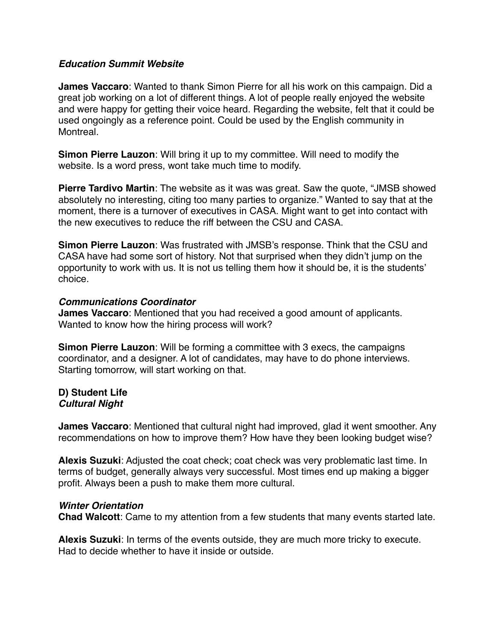#### *Education Summit Website*

**James Vaccaro**: Wanted to thank Simon Pierre for all his work on this campaign. Did a great job working on a lot of different things. A lot of people really enjoyed the website and were happy for getting their voice heard. Regarding the website, felt that it could be used ongoingly as a reference point. Could be used by the English community in Montreal.

**Simon Pierre Lauzon**: Will bring it up to my committee. Will need to modify the website. Is a word press, wont take much time to modify.

**Pierre Tardivo Martin**: The website as it was was great. Saw the quote, "JMSB showed absolutely no interesting, citing too many parties to organize." Wanted to say that at the moment, there is a turnover of executives in CASA. Might want to get into contact with the new executives to reduce the riff between the CSU and CASA.

**Simon Pierre Lauzon**: Was frustrated with JMSB's response. Think that the CSU and CASA have had some sort of history. Not that surprised when they didn't jump on the opportunity to work with us. It is not us telling them how it should be, it is the students' choice.

#### *Communications Coordinator*

**James Vaccaro**: Mentioned that you had received a good amount of applicants. Wanted to know how the hiring process will work?

**Simon Pierre Lauzon**: Will be forming a committee with 3 execs, the campaigns coordinator, and a designer. A lot of candidates, may have to do phone interviews. Starting tomorrow, will start working on that.

#### **D) Student Life** *Cultural Night*

**James Vaccaro**: Mentioned that cultural night had improved, glad it went smoother. Any recommendations on how to improve them? How have they been looking budget wise?

**Alexis Suzuki**: Adjusted the coat check; coat check was very problematic last time. In terms of budget, generally always very successful. Most times end up making a bigger profit. Always been a push to make them more cultural.

#### *Winter Orientation*

**Chad Walcott**: Came to my attention from a few students that many events started late.

**Alexis Suzuki**: In terms of the events outside, they are much more tricky to execute. Had to decide whether to have it inside or outside.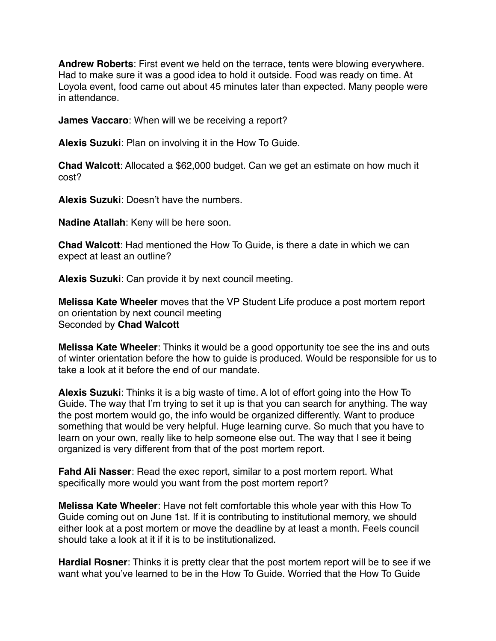**Andrew Roberts**: First event we held on the terrace, tents were blowing everywhere. Had to make sure it was a good idea to hold it outside. Food was ready on time. At Loyola event, food came out about 45 minutes later than expected. Many people were in attendance.

**James Vaccaro**: When will we be receiving a report?

**Alexis Suzuki**: Plan on involving it in the How To Guide.

**Chad Walcott**: Allocated a \$62,000 budget. Can we get an estimate on how much it cost?

**Alexis Suzuki**: Doesn't have the numbers.

**Nadine Atallah**: Keny will be here soon.

**Chad Walcott**: Had mentioned the How To Guide, is there a date in which we can expect at least an outline?

**Alexis Suzuki**: Can provide it by next council meeting.

**Melissa Kate Wheeler** moves that the VP Student Life produce a post mortem report on orientation by next council meeting Seconded by **Chad Walcott**

**Melissa Kate Wheeler**: Thinks it would be a good opportunity toe see the ins and outs of winter orientation before the how to guide is produced. Would be responsible for us to take a look at it before the end of our mandate.

**Alexis Suzuki**: Thinks it is a big waste of time. A lot of effort going into the How To Guide. The way that I'm trying to set it up is that you can search for anything. The way the post mortem would go, the info would be organized differently. Want to produce something that would be very helpful. Huge learning curve. So much that you have to learn on your own, really like to help someone else out. The way that I see it being organized is very different from that of the post mortem report.

**Fahd Ali Nasser**: Read the exec report, similar to a post mortem report. What specifically more would you want from the post mortem report?

**Melissa Kate Wheeler**: Have not felt comfortable this whole year with this How To Guide coming out on June 1st. If it is contributing to institutional memory, we should either look at a post mortem or move the deadline by at least a month. Feels council should take a look at it if it is to be institutionalized.

**Hardial Rosner**: Thinks it is pretty clear that the post mortem report will be to see if we want what you've learned to be in the How To Guide. Worried that the How To Guide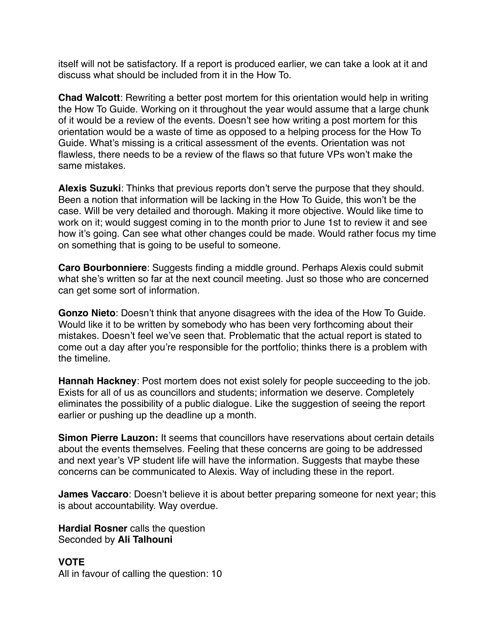itself will not be satisfactory. If a report is produced earlier, we can take a look at it and discuss what should be included from it in the How To.

**Chad Walcott**: Rewriting a better post mortem for this orientation would help in writing the How To Guide. Working on it throughout the year would assume that a large chunk of it would be a review of the events. Doesn't see how writing a post mortem for this orientation would be a waste of time as opposed to a helping process for the How To Guide. What's missing is a critical assessment of the events. Orientation was not flawless, there needs to be a review of the flaws so that future VPs won't make the same mistakes.

**Alexis Suzuki**: Thinks that previous reports don't serve the purpose that they should. Been a notion that information will be lacking in the How To Guide, this won't be the case. Will be very detailed and thorough. Making it more objective. Would like time to work on it; would suggest coming in to the month prior to June 1st to review it and see how it's going. Can see what other changes could be made. Would rather focus my time on something that is going to be useful to someone.

**Caro Bourbonniere**: Suggests finding a middle ground. Perhaps Alexis could submit what she's written so far at the next council meeting. Just so those who are concerned can get some sort of information.

**Gonzo Nieto**: Doesn't think that anyone disagrees with the idea of the How To Guide. Would like it to be written by somebody who has been very forthcoming about their mistakes. Doesn't feel we've seen that. Problematic that the actual report is stated to come out a day after you're responsible for the portfolio; thinks there is a problem with the timeline.

**Hannah Hackney**: Post mortem does not exist solely for people succeeding to the job. Exists for all of us as councillors and students; information we deserve. Completely eliminates the possibility of a public dialogue. Like the suggestion of seeing the report earlier or pushing up the deadline up a month.

**Simon Pierre Lauzon:** It seems that councillors have reservations about certain details about the events themselves. Feeling that these concerns are going to be addressed and next year's VP student life will have the information. Suggests that maybe these concerns can be communicated to Alexis. Way of including these in the report.

**James Vaccaro**: Doesn't believe it is about better preparing someone for next year; this is about accountability. Way overdue.

**Hardial Rosner** calls the question Seconded by **Ali Talhouni**

**VOTE**

All in favour of calling the question: 10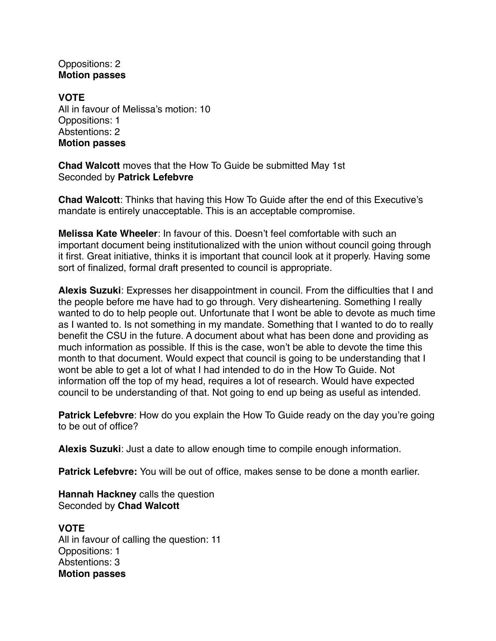Oppositions: 2 **Motion passes** 

**VOTE** All in favour of Melissa's motion: 10 Oppositions: 1 Abstentions: 2 **Motion passes** 

**Chad Walcott** moves that the How To Guide be submitted May 1st Seconded by **Patrick Lefebvre** 

**Chad Walcott**: Thinks that having this How To Guide after the end of this Executive's mandate is entirely unacceptable. This is an acceptable compromise.

**Melissa Kate Wheeler**: In favour of this. Doesn't feel comfortable with such an important document being institutionalized with the union without council going through it first. Great initiative, thinks it is important that council look at it properly. Having some sort of finalized, formal draft presented to council is appropriate.

**Alexis Suzuki**: Expresses her disappointment in council. From the difficulties that I and the people before me have had to go through. Very disheartening. Something I really wanted to do to help people out. Unfortunate that I wont be able to devote as much time as I wanted to. Is not something in my mandate. Something that I wanted to do to really benefit the CSU in the future. A document about what has been done and providing as much information as possible. If this is the case, won't be able to devote the time this month to that document. Would expect that council is going to be understanding that I wont be able to get a lot of what I had intended to do in the How To Guide. Not information off the top of my head, requires a lot of research. Would have expected council to be understanding of that. Not going to end up being as useful as intended.

**Patrick Lefebvre**: How do you explain the How To Guide ready on the day you're going to be out of office?

**Alexis Suzuki**: Just a date to allow enough time to compile enough information.

Patrick Lefebvre: You will be out of office, makes sense to be done a month earlier.

**Hannah Hackney** calls the question Seconded by **Chad Walcott**

**VOTE** All in favour of calling the question: 11 Oppositions: 1 Abstentions: 3 **Motion passes**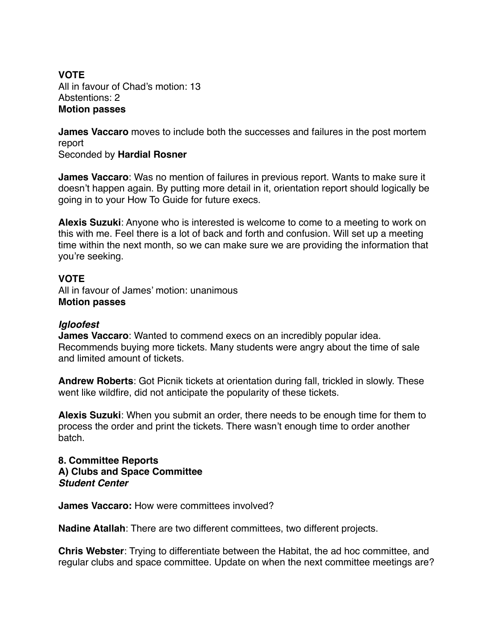#### **VOTE** All in favour of Chad's motion: 13 Abstentions: 2 **Motion passes**

**James Vaccaro** moves to include both the successes and failures in the post mortem report

Seconded by **Hardial Rosner**

**James Vaccaro**: Was no mention of failures in previous report. Wants to make sure it doesn't happen again. By putting more detail in it, orientation report should logically be going in to your How To Guide for future execs.

**Alexis Suzuki**: Anyone who is interested is welcome to come to a meeting to work on this with me. Feel there is a lot of back and forth and confusion. Will set up a meeting time within the next month, so we can make sure we are providing the information that you're seeking.

# **VOTE**

All in favour of James' motion: unanimous **Motion passes** 

## *Igloofest*

**James Vaccaro**: Wanted to commend execs on an incredibly popular idea. Recommends buying more tickets. Many students were angry about the time of sale and limited amount of tickets.

**Andrew Roberts**: Got Picnik tickets at orientation during fall, trickled in slowly. These went like wildfire, did not anticipate the popularity of these tickets.

**Alexis Suzuki**: When you submit an order, there needs to be enough time for them to process the order and print the tickets. There wasn't enough time to order another batch.

#### **8. Committee Reports A) Clubs and Space Committee**  *Student Center*

**James Vaccaro:** How were committees involved?

**Nadine Atallah**: There are two different committees, two different projects.

**Chris Webster**: Trying to differentiate between the Habitat, the ad hoc committee, and regular clubs and space committee. Update on when the next committee meetings are?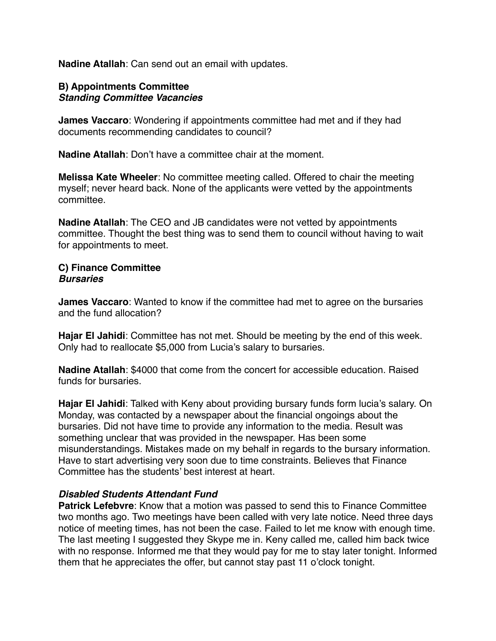**Nadine Atallah**: Can send out an email with updates.

## **B) Appointments Committee**  *Standing Committee Vacancies*

**James Vaccaro**: Wondering if appointments committee had met and if they had documents recommending candidates to council?

**Nadine Atallah**: Don't have a committee chair at the moment.

**Melissa Kate Wheeler**: No committee meeting called. Offered to chair the meeting myself; never heard back. None of the applicants were vetted by the appointments committee.

**Nadine Atallah**: The CEO and JB candidates were not vetted by appointments committee. Thought the best thing was to send them to council without having to wait for appointments to meet.

#### **C) Finance Committee**  *Bursaries*

**James Vaccaro**: Wanted to know if the committee had met to agree on the bursaries and the fund allocation?

**Hajar El Jahidi**: Committee has not met. Should be meeting by the end of this week. Only had to reallocate \$5,000 from Lucia's salary to bursaries.

**Nadine Atallah**: \$4000 that come from the concert for accessible education. Raised funds for bursaries.

**Hajar El Jahidi**: Talked with Keny about providing bursary funds form lucia's salary. On Monday, was contacted by a newspaper about the financial ongoings about the bursaries. Did not have time to provide any information to the media. Result was something unclear that was provided in the newspaper. Has been some misunderstandings. Mistakes made on my behalf in regards to the bursary information. Have to start advertising very soon due to time constraints. Believes that Finance Committee has the students' best interest at heart.

#### *Disabled Students Attendant Fund*

**Patrick Lefebvre**: Know that a motion was passed to send this to Finance Committee two months ago. Two meetings have been called with very late notice. Need three days notice of meeting times, has not been the case. Failed to let me know with enough time. The last meeting I suggested they Skype me in. Keny called me, called him back twice with no response. Informed me that they would pay for me to stay later tonight. Informed them that he appreciates the offer, but cannot stay past 11 o'clock tonight.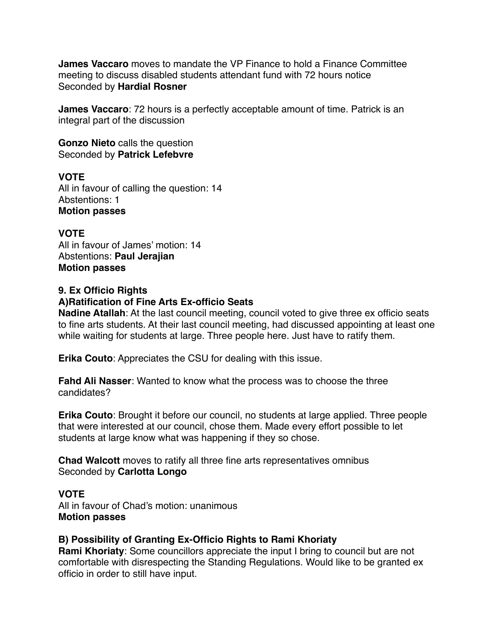**James Vaccaro** moves to mandate the VP Finance to hold a Finance Committee meeting to discuss disabled students attendant fund with 72 hours notice Seconded by **Hardial Rosner**

**James Vaccaro**: 72 hours is a perfectly acceptable amount of time. Patrick is an integral part of the discussion

**Gonzo Nieto** calls the question Seconded by **Patrick Lefebvre** 

**VOTE** All in favour of calling the question: 14 Abstentions: 1 **Motion passes** 

**VOTE** All in favour of James' motion: 14 Abstentions: **Paul Jerajian Motion passes** 

#### **9. Ex Officio Rights A)Ratification of Fine Arts Ex-officio Seats**

**Nadine Atallah**: At the last council meeting, council voted to give three ex officio seats to fine arts students. At their last council meeting, had discussed appointing at least one while waiting for students at large. Three people here. Just have to ratify them.

**Erika Couto**: Appreciates the CSU for dealing with this issue.

**Fahd Ali Nasser**: Wanted to know what the process was to choose the three candidates?

**Erika Couto**: Brought it before our council, no students at large applied. Three people that were interested at our council, chose them. Made every effort possible to let students at large know what was happening if they so chose.

**Chad Walcott** moves to ratify all three fine arts representatives omnibus Seconded by **Carlotta Longo**

# **VOTE**

All in favour of Chad's motion: unanimous **Motion passes** 

# **B) Possibility of Granting Ex-Officio Rights to Rami Khoriaty**

**Rami Khoriaty**: Some councillors appreciate the input I bring to council but are not comfortable with disrespecting the Standing Regulations. Would like to be granted ex officio in order to still have input.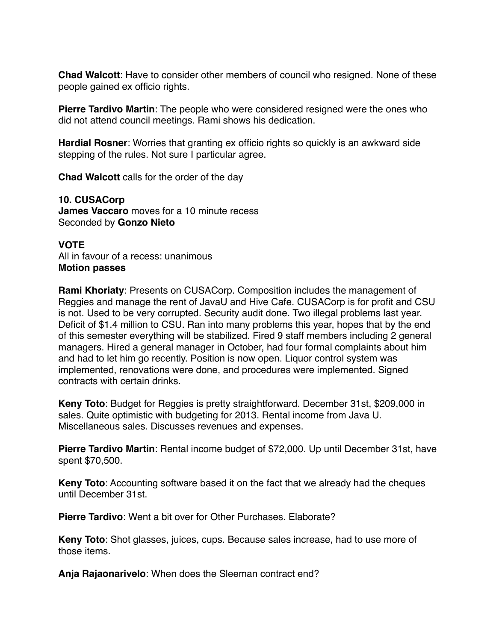**Chad Walcott**: Have to consider other members of council who resigned. None of these people gained ex officio rights.

**Pierre Tardivo Martin**: The people who were considered resigned were the ones who did not attend council meetings. Rami shows his dedication.

**Hardial Rosner**: Worries that granting ex officio rights so quickly is an awkward side stepping of the rules. Not sure I particular agree.

**Chad Walcott** calls for the order of the day

**10. CUSACorp James Vaccaro** moves for a 10 minute recess Seconded by **Gonzo Nieto**

**VOTE** All in favour of a recess: unanimous **Motion passes** 

**Rami Khoriaty**: Presents on CUSACorp. Composition includes the management of Reggies and manage the rent of JavaU and Hive Cafe. CUSACorp is for profit and CSU is not. Used to be very corrupted. Security audit done. Two illegal problems last year. Deficit of \$1.4 million to CSU. Ran into many problems this year, hopes that by the end of this semester everything will be stabilized. Fired 9 staff members including 2 general managers. Hired a general manager in October, had four formal complaints about him and had to let him go recently. Position is now open. Liquor control system was implemented, renovations were done, and procedures were implemented. Signed contracts with certain drinks.

**Keny Toto**: Budget for Reggies is pretty straightforward. December 31st, \$209,000 in sales. Quite optimistic with budgeting for 2013. Rental income from Java U. Miscellaneous sales. Discusses revenues and expenses.

**Pierre Tardivo Martin: Rental income budget of \$72,000. Up until December 31st, have** spent \$70,500.

**Keny Toto**: Accounting software based it on the fact that we already had the cheques until December 31st.

**Pierre Tardivo**: Went a bit over for Other Purchases. Elaborate?

**Keny Toto**: Shot glasses, juices, cups. Because sales increase, had to use more of those items.

**Anja Rajaonarivelo**: When does the Sleeman contract end?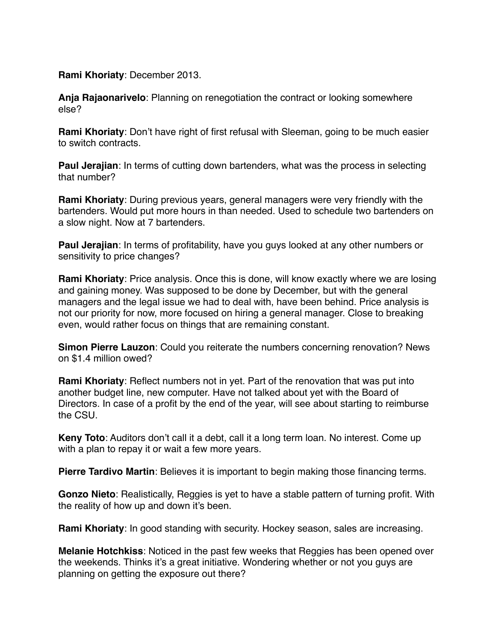#### **Rami Khoriaty**: December 2013.

**Anja Rajaonarivelo**: Planning on renegotiation the contract or looking somewhere else?

**Rami Khoriaty**: Don't have right of first refusal with Sleeman, going to be much easier to switch contracts.

**Paul Jerajian**: In terms of cutting down bartenders, what was the process in selecting that number?

**Rami Khoriaty**: During previous years, general managers were very friendly with the bartenders. Would put more hours in than needed. Used to schedule two bartenders on a slow night. Now at 7 bartenders.

**Paul Jerajian**: In terms of profitability, have you guys looked at any other numbers or sensitivity to price changes?

**Rami Khoriaty**: Price analysis. Once this is done, will know exactly where we are losing and gaining money. Was supposed to be done by December, but with the general managers and the legal issue we had to deal with, have been behind. Price analysis is not our priority for now, more focused on hiring a general manager. Close to breaking even, would rather focus on things that are remaining constant.

**Simon Pierre Lauzon**: Could you reiterate the numbers concerning renovation? News on \$1.4 million owed?

**Rami Khoriaty**: Reflect numbers not in yet. Part of the renovation that was put into another budget line, new computer. Have not talked about yet with the Board of Directors. In case of a profit by the end of the year, will see about starting to reimburse the CSU.

**Keny Toto**: Auditors don't call it a debt, call it a long term loan. No interest. Come up with a plan to repay it or wait a few more years.

**Pierre Tardivo Martin**: Believes it is important to begin making those financing terms.

**Gonzo Nieto**: Realistically, Reggies is yet to have a stable pattern of turning profit. With the reality of how up and down it's been.

**Rami Khoriaty**: In good standing with security. Hockey season, sales are increasing.

**Melanie Hotchkiss**: Noticed in the past few weeks that Reggies has been opened over the weekends. Thinks it's a great initiative. Wondering whether or not you guys are planning on getting the exposure out there?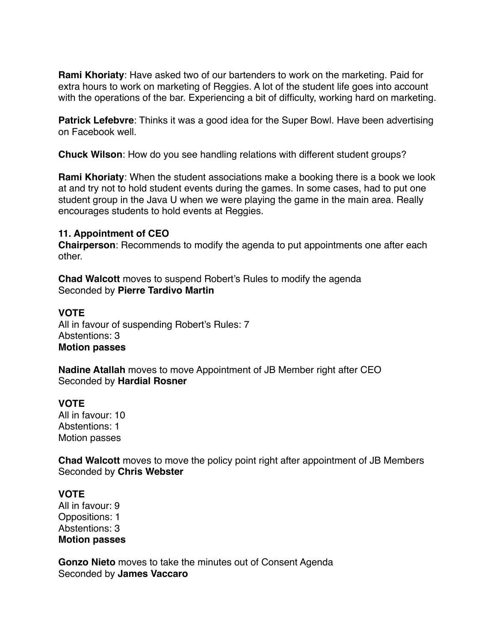**Rami Khoriaty**: Have asked two of our bartenders to work on the marketing. Paid for extra hours to work on marketing of Reggies. A lot of the student life goes into account with the operations of the bar. Experiencing a bit of difficulty, working hard on marketing.

**Patrick Lefebvre**: Thinks it was a good idea for the Super Bowl. Have been advertising on Facebook well.

**Chuck Wilson**: How do you see handling relations with different student groups?

**Rami Khoriaty**: When the student associations make a booking there is a book we look at and try not to hold student events during the games. In some cases, had to put one student group in the Java U when we were playing the game in the main area. Really encourages students to hold events at Reggies.

#### **11. Appointment of CEO**

**Chairperson**: Recommends to modify the agenda to put appointments one after each other.

**Chad Walcott** moves to suspend Robert's Rules to modify the agenda Seconded by **Pierre Tardivo Martin** 

**VOTE** All in favour of suspending Robert's Rules: 7 Abstentions: 3 **Motion passes** 

**Nadine Atallah** moves to move Appointment of JB Member right after CEO Seconded by **Hardial Rosner**

#### **VOTE**

All in favour: 10 Abstentions: 1 Motion passes

**Chad Walcott** moves to move the policy point right after appointment of JB Members Seconded by **Chris Webster**

**VOTE** All in favour: 9 Oppositions: 1 Abstentions: 3 **Motion passes** 

**Gonzo Nieto** moves to take the minutes out of Consent Agenda Seconded by **James Vaccaro**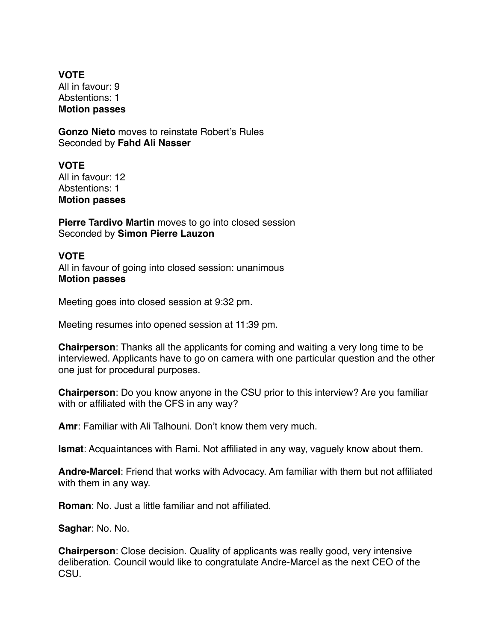#### **VOTE** All in favour: 9 Abstentions: 1 **Motion passes**

**Gonzo Nieto** moves to reinstate Robert's Rules Seconded by **Fahd Ali Nasser**

**VOTE** All in favour: 12 Abstentions: 1 **Motion passes** 

**Pierre Tardivo Martin** moves to go into closed session Seconded by **Simon Pierre Lauzon**

## **VOTE**

All in favour of going into closed session: unanimous **Motion passes** 

Meeting goes into closed session at 9:32 pm.

Meeting resumes into opened session at 11:39 pm.

**Chairperson**: Thanks all the applicants for coming and waiting a very long time to be interviewed. Applicants have to go on camera with one particular question and the other one just for procedural purposes.

**Chairperson**: Do you know anyone in the CSU prior to this interview? Are you familiar with or affiliated with the CFS in any way?

**Amr**: Familiar with Ali Talhouni. Don't know them very much.

**Ismat**: Acquaintances with Rami. Not affiliated in any way, vaguely know about them.

**Andre-Marcel**: Friend that works with Advocacy. Am familiar with them but not affiliated with them in any way.

**Roman**: No. Just a little familiar and not affiliated.

#### **Saghar**: No. No.

**Chairperson**: Close decision. Quality of applicants was really good, very intensive deliberation. Council would like to congratulate Andre-Marcel as the next CEO of the CSU.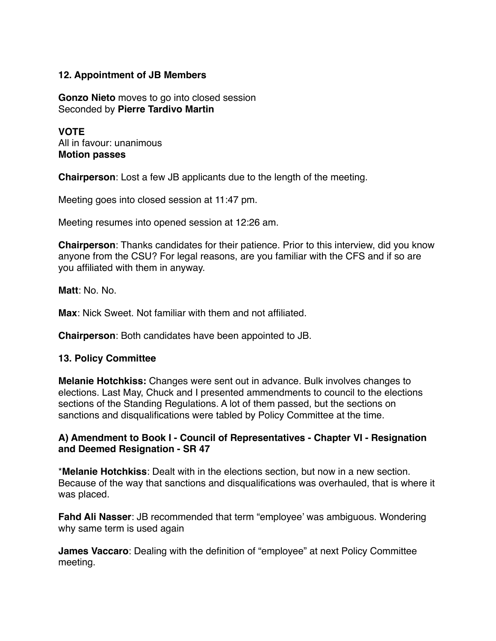## **12. Appointment of JB Members**

**Gonzo Nieto** moves to go into closed session Seconded by **Pierre Tardivo Martin**

**VOTE** All in favour: unanimous **Motion passes** 

**Chairperson**: Lost a few JB applicants due to the length of the meeting.

Meeting goes into closed session at 11:47 pm.

Meeting resumes into opened session at 12:26 am.

**Chairperson**: Thanks candidates for their patience. Prior to this interview, did you know anyone from the CSU? For legal reasons, are you familiar with the CFS and if so are you affiliated with them in anyway.

**Matt**: No. No.

**Max**: Nick Sweet. Not familiar with them and not affiliated.

**Chairperson**: Both candidates have been appointed to JB.

#### **13. Policy Committee**

**Melanie Hotchkiss:** Changes were sent out in advance. Bulk involves changes to elections. Last May, Chuck and I presented ammendments to council to the elections sections of the Standing Regulations. A lot of them passed, but the sections on sanctions and disqualifications were tabled by Policy Committee at the time.

#### **A) Amendment to Book I - Council of Representatives - Chapter VI - Resignation and Deemed Resignation - SR 47**

\***Melanie Hotchkiss**: Dealt with in the elections section, but now in a new section. Because of the way that sanctions and disqualifications was overhauled, that is where it was placed.

**Fahd Ali Nasser**: JB recommended that term "employee' was ambiguous. Wondering why same term is used again

**James Vaccaro**: Dealing with the definition of "employee" at next Policy Committee meeting.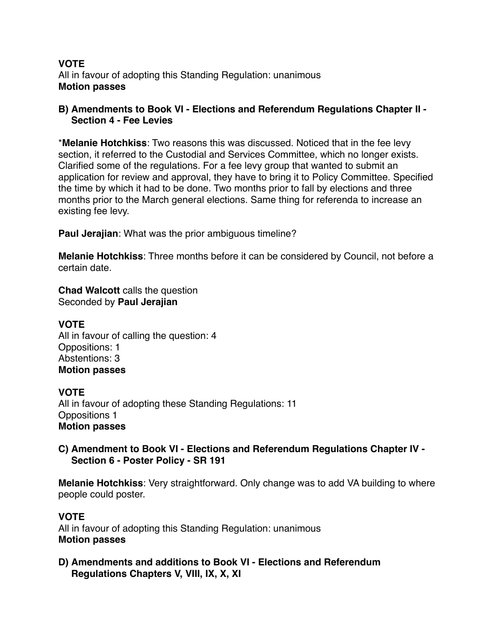# **VOTE** All in favour of adopting this Standing Regulation: unanimous **Motion passes**

# **B) Amendments to Book VI - Elections and Referendum Regulations Chapter II - Section 4 - Fee Levies**

\***Melanie Hotchkiss**: Two reasons this was discussed. Noticed that in the fee levy section, it referred to the Custodial and Services Committee, which no longer exists. Clarified some of the regulations. For a fee levy group that wanted to submit an application for review and approval, they have to bring it to Policy Committee. Specified the time by which it had to be done. Two months prior to fall by elections and three months prior to the March general elections. Same thing for referenda to increase an existing fee levy.

**Paul Jerajian**: What was the prior ambiguous timeline?

**Melanie Hotchkiss**: Three months before it can be considered by Council, not before a certain date.

**Chad Walcott** calls the question Seconded by **Paul Jerajian**

**VOTE** All in favour of calling the question: 4 Oppositions: 1 Abstentions: 3 **Motion passes**

**VOTE** All in favour of adopting these Standing Regulations: 11 Oppositions 1 **Motion passes** 

# **C) Amendment to Book VI - Elections and Referendum Regulations Chapter IV - Section 6 - Poster Policy - SR 191**

**Melanie Hotchkiss**: Very straightforward. Only change was to add VA building to where people could poster.

# **VOTE**

All in favour of adopting this Standing Regulation: unanimous **Motion passes** 

**D) Amendments and additions to Book VI - Elections and Referendum Regulations Chapters V, VIII, IX, X, XI**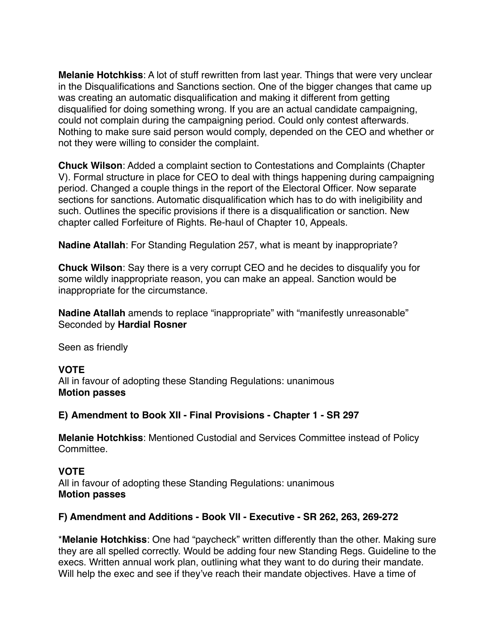**Melanie Hotchkiss**: A lot of stuff rewritten from last year. Things that were very unclear in the Disqualifications and Sanctions section. One of the bigger changes that came up was creating an automatic disqualification and making it different from getting disqualified for doing something wrong. If you are an actual candidate campaigning, could not complain during the campaigning period. Could only contest afterwards. Nothing to make sure said person would comply, depended on the CEO and whether or not they were willing to consider the complaint.

**Chuck Wilson**: Added a complaint section to Contestations and Complaints (Chapter V). Formal structure in place for CEO to deal with things happening during campaigning period. Changed a couple things in the report of the Electoral Officer. Now separate sections for sanctions. Automatic disqualification which has to do with ineligibility and such. Outlines the specific provisions if there is a disqualification or sanction. New chapter called Forfeiture of Rights. Re-haul of Chapter 10, Appeals.

**Nadine Atallah**: For Standing Regulation 257, what is meant by inappropriate?

**Chuck Wilson**: Say there is a very corrupt CEO and he decides to disqualify you for some wildly inappropriate reason, you can make an appeal. Sanction would be inappropriate for the circumstance.

**Nadine Atallah** amends to replace "inappropriate" with "manifestly unreasonable" Seconded by **Hardial Rosner**

Seen as friendly

# **VOTE**

All in favour of adopting these Standing Regulations: unanimous **Motion passes** 

#### **E) Amendment to Book XII - Final Provisions - Chapter 1 - SR 297**

**Melanie Hotchkiss**: Mentioned Custodial and Services Committee instead of Policy **Committee** 

# **VOTE**

All in favour of adopting these Standing Regulations: unanimous **Motion passes** 

#### **F) Amendment and Additions - Book VII - Executive - SR 262, 263, 269-272**

\***Melanie Hotchkiss**: One had "paycheck" written differently than the other. Making sure they are all spelled correctly. Would be adding four new Standing Regs. Guideline to the execs. Written annual work plan, outlining what they want to do during their mandate. Will help the exec and see if they've reach their mandate objectives. Have a time of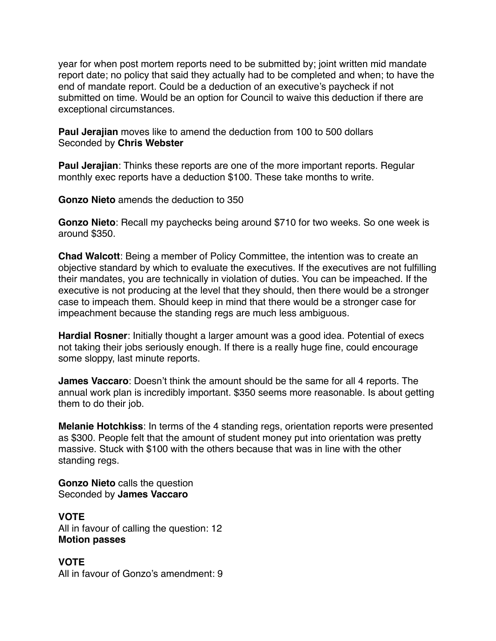year for when post mortem reports need to be submitted by; joint written mid mandate report date; no policy that said they actually had to be completed and when; to have the end of mandate report. Could be a deduction of an executive's paycheck if not submitted on time. Would be an option for Council to waive this deduction if there are exceptional circumstances.

**Paul Jerajian** moves like to amend the deduction from 100 to 500 dollars Seconded by **Chris Webster** 

**Paul Jerajian**: Thinks these reports are one of the more important reports. Regular monthly exec reports have a deduction \$100. These take months to write.

**Gonzo Nieto** amends the deduction to 350

**Gonzo Nieto**: Recall my paychecks being around \$710 for two weeks. So one week is around \$350.

**Chad Walcott**: Being a member of Policy Committee, the intention was to create an objective standard by which to evaluate the executives. If the executives are not fulfilling their mandates, you are technically in violation of duties. You can be impeached. If the executive is not producing at the level that they should, then there would be a stronger case to impeach them. Should keep in mind that there would be a stronger case for impeachment because the standing regs are much less ambiguous.

**Hardial Rosner**: Initially thought a larger amount was a good idea. Potential of execs not taking their jobs seriously enough. If there is a really huge fine, could encourage some sloppy, last minute reports.

**James Vaccaro**: Doesn't think the amount should be the same for all 4 reports. The annual work plan is incredibly important. \$350 seems more reasonable. Is about getting them to do their job.

**Melanie Hotchkiss**: In terms of the 4 standing regs, orientation reports were presented as \$300. People felt that the amount of student money put into orientation was pretty massive. Stuck with \$100 with the others because that was in line with the other standing regs.

**Gonzo Nieto** calls the question Seconded by **James Vaccaro**

# **VOTE**

All in favour of calling the question: 12 **Motion passes** 

**VOTE** All in favour of Gonzo's amendment: 9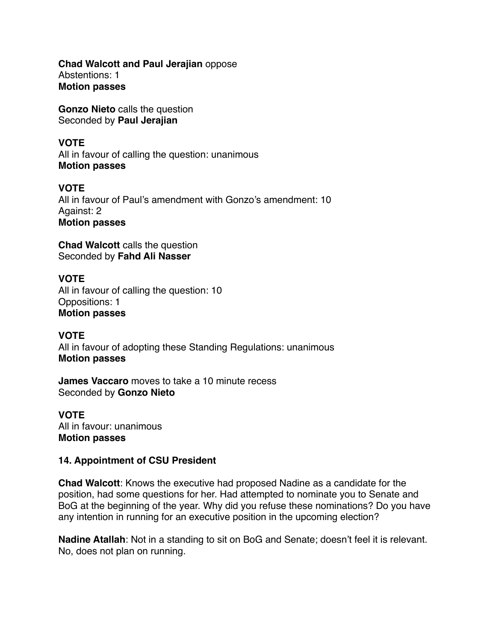#### **Chad Walcott and Paul Jerajian** oppose Abstentions: 1 **Motion passes**

**Gonzo Nieto** calls the question Seconded by **Paul Jerajian** 

# **VOTE**

All in favour of calling the question: unanimous **Motion passes** 

# **VOTE**

All in favour of Paul's amendment with Gonzo's amendment: 10 Against: 2 **Motion passes** 

**Chad Walcott** calls the question Seconded by **Fahd Ali Nasser**

#### **VOTE** All in favour of calling the question: 10 Oppositions: 1 **Motion passes**

**VOTE** All in favour of adopting these Standing Regulations: unanimous **Motion passes** 

**James Vaccaro** moves to take a 10 minute recess Seconded by **Gonzo Nieto**

**VOTE** All in favour: unanimous **Motion passes** 

# **14. Appointment of CSU President**

**Chad Walcott**: Knows the executive had proposed Nadine as a candidate for the position, had some questions for her. Had attempted to nominate you to Senate and BoG at the beginning of the year. Why did you refuse these nominations? Do you have any intention in running for an executive position in the upcoming election?

**Nadine Atallah**: Not in a standing to sit on BoG and Senate; doesn't feel it is relevant. No, does not plan on running.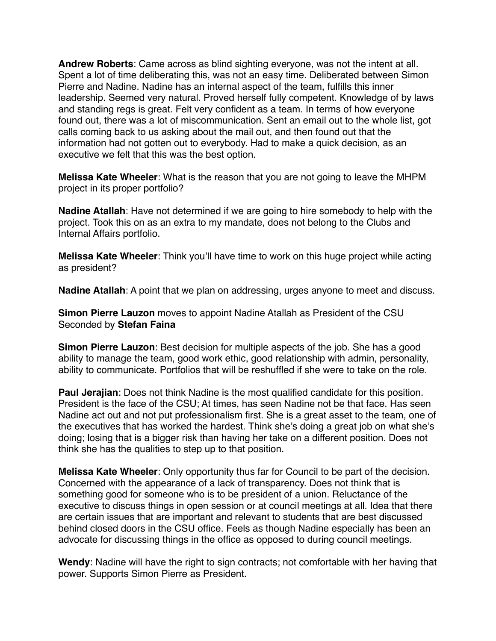**Andrew Roberts**: Came across as blind sighting everyone, was not the intent at all. Spent a lot of time deliberating this, was not an easy time. Deliberated between Simon Pierre and Nadine. Nadine has an internal aspect of the team, fulfills this inner leadership. Seemed very natural. Proved herself fully competent. Knowledge of by laws and standing regs is great. Felt very confident as a team. In terms of how everyone found out, there was a lot of miscommunication. Sent an email out to the whole list, got calls coming back to us asking about the mail out, and then found out that the information had not gotten out to everybody. Had to make a quick decision, as an executive we felt that this was the best option.

**Melissa Kate Wheeler**: What is the reason that you are not going to leave the MHPM project in its proper portfolio?

**Nadine Atallah**: Have not determined if we are going to hire somebody to help with the project. Took this on as an extra to my mandate, does not belong to the Clubs and Internal Affairs portfolio.

**Melissa Kate Wheeler**: Think you'll have time to work on this huge project while acting as president?

**Nadine Atallah**: A point that we plan on addressing, urges anyone to meet and discuss.

**Simon Pierre Lauzon** moves to appoint Nadine Atallah as President of the CSU Seconded by **Stefan Faina**

**Simon Pierre Lauzon**: Best decision for multiple aspects of the job. She has a good ability to manage the team, good work ethic, good relationship with admin, personality, ability to communicate. Portfolios that will be reshuffled if she were to take on the role.

**Paul Jerajian**: Does not think Nadine is the most qualified candidate for this position. President is the face of the CSU; At times, has seen Nadine not be that face. Has seen Nadine act out and not put professionalism first. She is a great asset to the team, one of the executives that has worked the hardest. Think she's doing a great job on what she's doing; losing that is a bigger risk than having her take on a different position. Does not think she has the qualities to step up to that position.

**Melissa Kate Wheeler**: Only opportunity thus far for Council to be part of the decision. Concerned with the appearance of a lack of transparency. Does not think that is something good for someone who is to be president of a union. Reluctance of the executive to discuss things in open session or at council meetings at all. Idea that there are certain issues that are important and relevant to students that are best discussed behind closed doors in the CSU office. Feels as though Nadine especially has been an advocate for discussing things in the office as opposed to during council meetings.

**Wendy**: Nadine will have the right to sign contracts; not comfortable with her having that power. Supports Simon Pierre as President.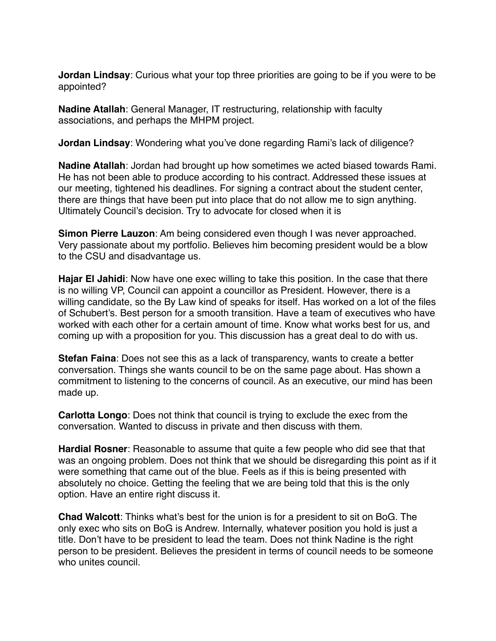**Jordan Lindsay**: Curious what your top three priorities are going to be if you were to be appointed?

**Nadine Atallah**: General Manager, IT restructuring, relationship with faculty associations, and perhaps the MHPM project.

**Jordan Lindsay**: Wondering what you've done regarding Rami's lack of diligence?

**Nadine Atallah**: Jordan had brought up how sometimes we acted biased towards Rami. He has not been able to produce according to his contract. Addressed these issues at our meeting, tightened his deadlines. For signing a contract about the student center, there are things that have been put into place that do not allow me to sign anything. Ultimately Council's decision. Try to advocate for closed when it is

**Simon Pierre Lauzon**: Am being considered even though I was never approached. Very passionate about my portfolio. Believes him becoming president would be a blow to the CSU and disadvantage us.

**Hajar El Jahidi**: Now have one exec willing to take this position. In the case that there is no willing VP, Council can appoint a councillor as President. However, there is a willing candidate, so the By Law kind of speaks for itself. Has worked on a lot of the files of Schubert's. Best person for a smooth transition. Have a team of executives who have worked with each other for a certain amount of time. Know what works best for us, and coming up with a proposition for you. This discussion has a great deal to do with us.

**Stefan Faina**: Does not see this as a lack of transparency, wants to create a better conversation. Things she wants council to be on the same page about. Has shown a commitment to listening to the concerns of council. As an executive, our mind has been made up.

**Carlotta Longo**: Does not think that council is trying to exclude the exec from the conversation. Wanted to discuss in private and then discuss with them.

**Hardial Rosner**: Reasonable to assume that quite a few people who did see that that was an ongoing problem. Does not think that we should be disregarding this point as if it were something that came out of the blue. Feels as if this is being presented with absolutely no choice. Getting the feeling that we are being told that this is the only option. Have an entire right discuss it.

**Chad Walcott**: Thinks what's best for the union is for a president to sit on BoG. The only exec who sits on BoG is Andrew. Internally, whatever position you hold is just a title. Don't have to be president to lead the team. Does not think Nadine is the right person to be president. Believes the president in terms of council needs to be someone who unites council.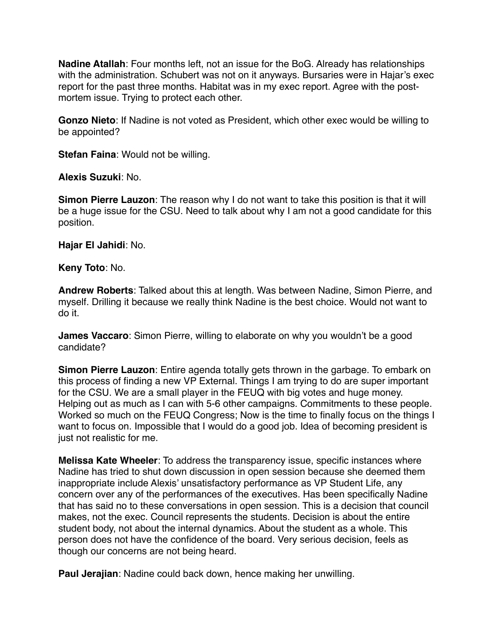**Nadine Atallah**: Four months left, not an issue for the BoG. Already has relationships with the administration. Schubert was not on it anyways. Bursaries were in Hajar's exec report for the past three months. Habitat was in my exec report. Agree with the postmortem issue. Trying to protect each other.

**Gonzo Nieto**: If Nadine is not voted as President, which other exec would be willing to be appointed?

**Stefan Faina**: Would not be willing.

**Alexis Suzuki**: No.

**Simon Pierre Lauzon**: The reason why I do not want to take this position is that it will be a huge issue for the CSU. Need to talk about why I am not a good candidate for this position.

**Hajar El Jahidi**: No.

**Keny Toto**: No.

**Andrew Roberts**: Talked about this at length. Was between Nadine, Simon Pierre, and myself. Drilling it because we really think Nadine is the best choice. Would not want to do it.

**James Vaccaro**: Simon Pierre, willing to elaborate on why you wouldn't be a good candidate?

**Simon Pierre Lauzon**: Entire agenda totally gets thrown in the garbage. To embark on this process of finding a new VP External. Things I am trying to do are super important for the CSU. We are a small player in the FEUQ with big votes and huge money. Helping out as much as I can with 5-6 other campaigns. Commitments to these people. Worked so much on the FEUQ Congress; Now is the time to finally focus on the things I want to focus on. Impossible that I would do a good job. Idea of becoming president is just not realistic for me.

**Melissa Kate Wheeler**: To address the transparency issue, specific instances where Nadine has tried to shut down discussion in open session because she deemed them inappropriate include Alexis' unsatisfactory performance as VP Student Life, any concern over any of the performances of the executives. Has been specifically Nadine that has said no to these conversations in open session. This is a decision that council makes, not the exec. Council represents the students. Decision is about the entire student body, not about the internal dynamics. About the student as a whole. This person does not have the confidence of the board. Very serious decision, feels as though our concerns are not being heard.

**Paul Jerajian**: Nadine could back down, hence making her unwilling.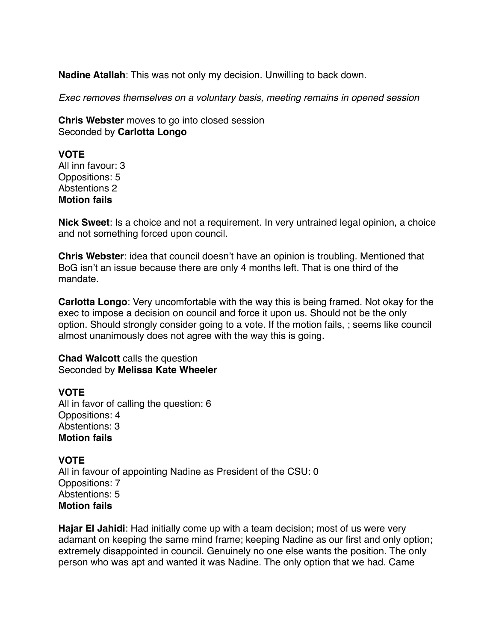**Nadine Atallah**: This was not only my decision. Unwilling to back down.

*Exec removes themselves on a voluntary basis, meeting remains in opened session* 

**Chris Webster** moves to go into closed session Seconded by **Carlotta Longo**

**VOTE** All inn favour: 3 Oppositions: 5 Abstentions 2 **Motion fails** 

**Nick Sweet**: Is a choice and not a requirement. In very untrained legal opinion, a choice and not something forced upon council.

**Chris Webster**: idea that council doesn't have an opinion is troubling. Mentioned that BoG isn't an issue because there are only 4 months left. That is one third of the mandate.

**Carlotta Longo**: Very uncomfortable with the way this is being framed. Not okay for the exec to impose a decision on council and force it upon us. Should not be the only option. Should strongly consider going to a vote. If the motion fails, ; seems like council almost unanimously does not agree with the way this is going.

**Chad Walcott** calls the question Seconded by **Melissa Kate Wheeler**

#### **VOTE**

All in favor of calling the question: 6 Oppositions: 4 Abstentions: 3 **Motion fails** 

**VOTE** All in favour of appointing Nadine as President of the CSU: 0 Oppositions: 7 Abstentions: 5 **Motion fails** 

**Hajar El Jahidi**: Had initially come up with a team decision; most of us were very adamant on keeping the same mind frame; keeping Nadine as our first and only option; extremely disappointed in council. Genuinely no one else wants the position. The only person who was apt and wanted it was Nadine. The only option that we had. Came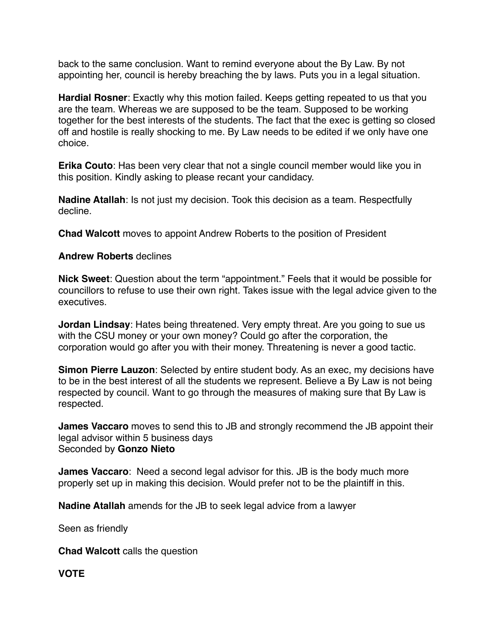back to the same conclusion. Want to remind everyone about the By Law. By not appointing her, council is hereby breaching the by laws. Puts you in a legal situation.

**Hardial Rosner**: Exactly why this motion failed. Keeps getting repeated to us that you are the team. Whereas we are supposed to be the team. Supposed to be working together for the best interests of the students. The fact that the exec is getting so closed off and hostile is really shocking to me. By Law needs to be edited if we only have one choice.

**Erika Couto**: Has been very clear that not a single council member would like you in this position. Kindly asking to please recant your candidacy.

**Nadine Atallah**: Is not just my decision. Took this decision as a team. Respectfully decline.

**Chad Walcott** moves to appoint Andrew Roberts to the position of President

#### **Andrew Roberts** declines

**Nick Sweet**: Question about the term "appointment." Feels that it would be possible for councillors to refuse to use their own right. Takes issue with the legal advice given to the executives.

**Jordan Lindsay:** Hates being threatened. Very empty threat. Are you going to sue us with the CSU money or your own money? Could go after the corporation, the corporation would go after you with their money. Threatening is never a good tactic.

**Simon Pierre Lauzon**: Selected by entire student body. As an exec, my decisions have to be in the best interest of all the students we represent. Believe a By Law is not being respected by council. Want to go through the measures of making sure that By Law is respected.

**James Vaccaro** moves to send this to JB and strongly recommend the JB appoint their legal advisor within 5 business days Seconded by **Gonzo Nieto** 

**James Vaccaro**: Need a second legal advisor for this. JB is the body much more properly set up in making this decision. Would prefer not to be the plaintiff in this.

**Nadine Atallah** amends for the JB to seek legal advice from a lawyer

Seen as friendly

**Chad Walcott** calls the question

**VOTE**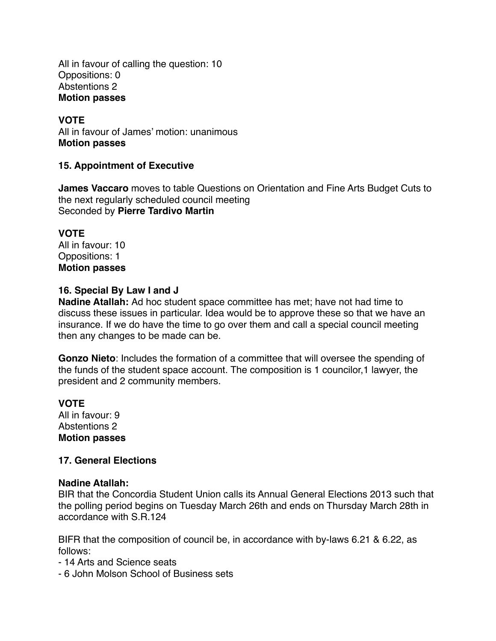All in favour of calling the question: 10 Oppositions: 0 Abstentions 2 **Motion passes** 

#### **VOTE**

All in favour of James' motion: unanimous **Motion passes** 

## **15. Appointment of Executive**

**James Vaccaro** moves to table Questions on Orientation and Fine Arts Budget Cuts to the next regularly scheduled council meeting Seconded by **Pierre Tardivo Martin**

**VOTE** All in favour: 10 Oppositions: 1 **Motion passes** 

#### **16. Special By Law I and J**

**Nadine Atallah:** Ad hoc student space committee has met; have not had time to discuss these issues in particular. Idea would be to approve these so that we have an insurance. If we do have the time to go over them and call a special council meeting then any changes to be made can be.

**Gonzo Nieto**: Includes the formation of a committee that will oversee the spending of the funds of the student space account. The composition is 1 councilor,1 lawyer, the president and 2 community members.

**VOTE** All in favour: 9 Abstentions 2 **Motion passes** 

# **17. General Elections**

#### **Nadine Atallah:**

BIR that the Concordia Student Union calls its Annual General Elections 2013 such that the polling period begins on Tuesday March 26th and ends on Thursday March 28th in accordance with S.R.124

BIFR that the composition of council be, in accordance with by-laws 6.21 & 6.22, as follows:

- 14 Arts and Science seats
- 6 John Molson School of Business sets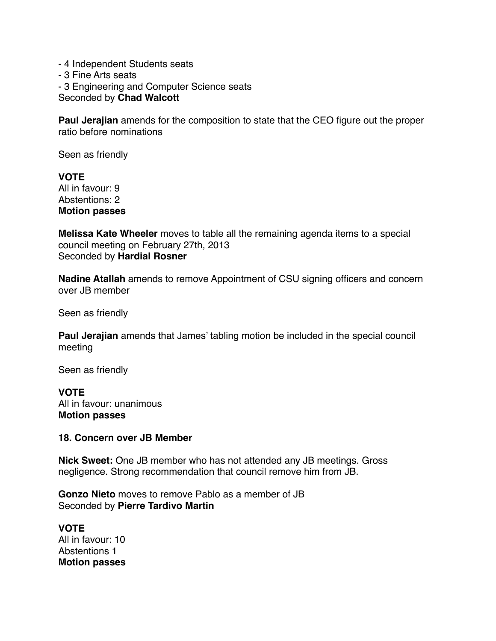- 4 Independent Students seats
- 3 Fine Arts seats
- 3 Engineering and Computer Science seats

Seconded by **Chad Walcott**

**Paul Jerajian** amends for the composition to state that the CEO figure out the proper ratio before nominations

Seen as friendly

**VOTE** All in favour: 9 Abstentions: 2 **Motion passes** 

**Melissa Kate Wheeler** moves to table all the remaining agenda items to a special council meeting on February 27th, 2013 Seconded by **Hardial Rosner** 

**Nadine Atallah** amends to remove Appointment of CSU signing officers and concern over JB member

Seen as friendly

**Paul Jerajian** amends that James' tabling motion be included in the special council meeting

Seen as friendly

**VOTE** All in favour: unanimous **Motion passes** 

#### **18. Concern over JB Member**

**Nick Sweet:** One JB member who has not attended any JB meetings. Gross negligence. Strong recommendation that council remove him from JB.

**Gonzo Nieto** moves to remove Pablo as a member of JB Seconded by **Pierre Tardivo Martin** 

**VOTE** All in favour: 10 Abstentions 1 **Motion passes**